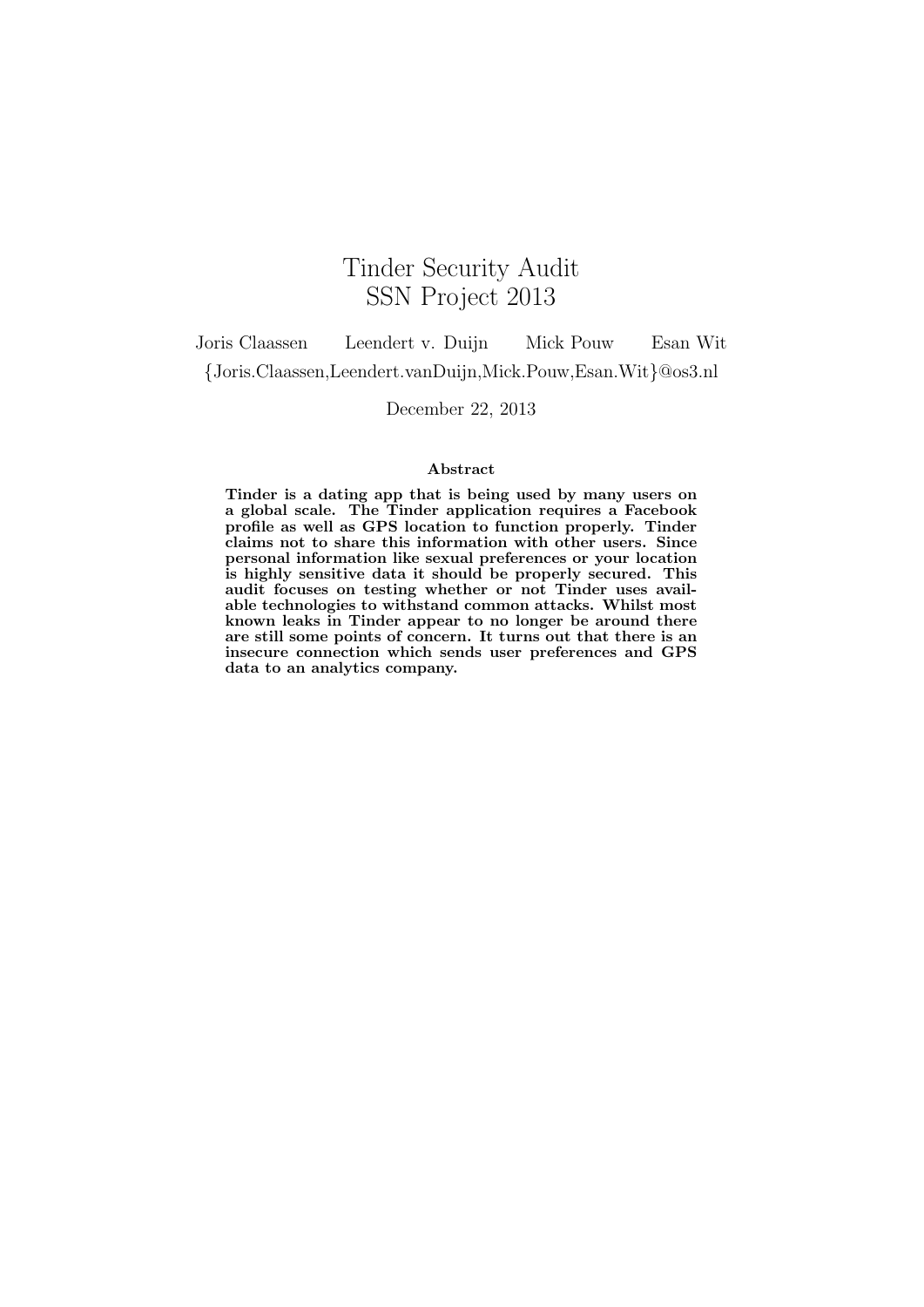# Tinder Security Audit SSN Project 2013

Joris Claassen Leendert v. Duijn Mick Pouw Esan Wit {Joris.Claassen,Leendert.vanDuijn,Mick.Pouw,Esan.Wit}@os3.nl

December 22, 2013

#### Abstract

Tinder is a dating app that is being used by many users on a global scale. The Tinder application requires a Facebook profile as well as GPS location to function properly. Tinder claims not to share this information with other users. Since personal information like sexual preferences or your location is highly sensitive data it should be properly secured. This audit focuses on testing whether or not Tinder uses available technologies to withstand common attacks. Whilst most known leaks in Tinder appear to no longer be around there are still some points of concern. It turns out that there is an insecure connection which sends user preferences and GPS data to an analytics company.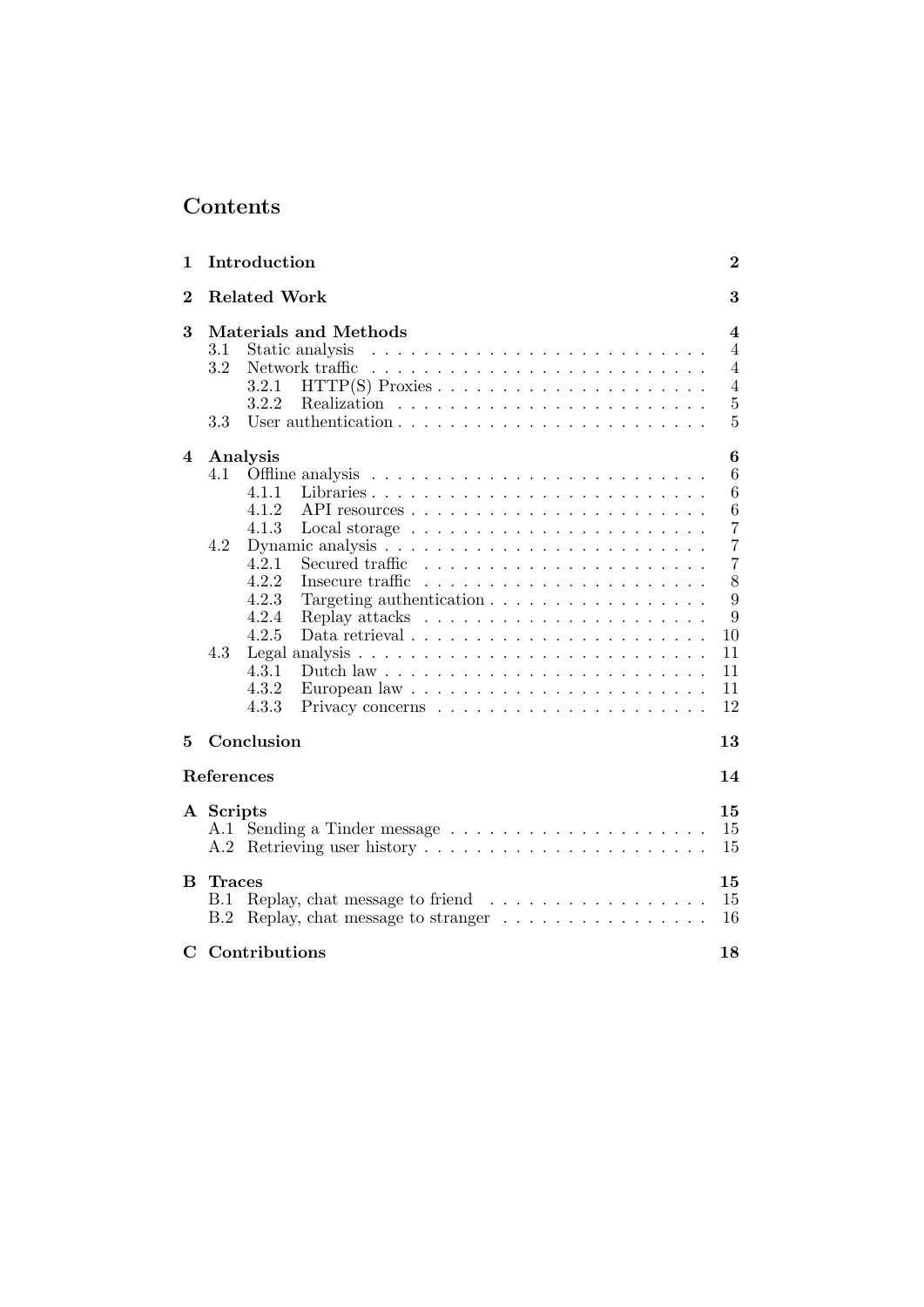# Contents

| 1              | Introduction                                                                                                                                                                                                                                                                                                                                                                                                                                                                                                                                                         | $\bf{2}$                                                                                                                               |
|----------------|----------------------------------------------------------------------------------------------------------------------------------------------------------------------------------------------------------------------------------------------------------------------------------------------------------------------------------------------------------------------------------------------------------------------------------------------------------------------------------------------------------------------------------------------------------------------|----------------------------------------------------------------------------------------------------------------------------------------|
| $\overline{2}$ | <b>Related Work</b>                                                                                                                                                                                                                                                                                                                                                                                                                                                                                                                                                  | 3                                                                                                                                      |
| 3              | <b>Materials and Methods</b><br>3.1<br>Static analysis<br>3.2<br>3.2.1<br>3.2.2<br>3.3                                                                                                                                                                                                                                                                                                                                                                                                                                                                               | 4<br>$\overline{4}$<br>$\overline{4}$<br>$\overline{4}$<br>$\bf 5$<br>5                                                                |
| 4              | Analysis<br>4.1<br>4.1.1<br>4.1.2<br>4.1.3<br>Local storage $\ldots \ldots \ldots \ldots \ldots \ldots \ldots$<br>4.2<br>4.2.1<br>Secured traffic<br>4.2.2<br>4.2.3<br>Targeting authentication<br>4.2.4<br>Replay attacks $\dots \dots \dots \dots \dots \dots \dots \dots$<br>4.2.5<br>Data retrieval $\ldots \ldots \ldots \ldots \ldots \ldots \ldots \ldots$<br>4.3<br>Legal analysis $\ldots \ldots \ldots \ldots \ldots \ldots \ldots \ldots \ldots$<br>4.3.1<br>Dutch law $\ldots \ldots \ldots \ldots \ldots \ldots \ldots \ldots \ldots$<br>4.3.2<br>4.3.3 | $\boldsymbol{6}$<br>6<br>6<br>$\,6$<br>$\overline{7}$<br>$\overline{7}$<br>$\overline{7}$<br>8<br>9<br>9<br>10<br>11<br>11<br>11<br>12 |
|                | Conclusion                                                                                                                                                                                                                                                                                                                                                                                                                                                                                                                                                           | 13                                                                                                                                     |
| 5              |                                                                                                                                                                                                                                                                                                                                                                                                                                                                                                                                                                      |                                                                                                                                        |
|                | References                                                                                                                                                                                                                                                                                                                                                                                                                                                                                                                                                           | 14                                                                                                                                     |
|                | A Scripts<br>A.2                                                                                                                                                                                                                                                                                                                                                                                                                                                                                                                                                     | 15<br>15<br>15                                                                                                                         |
| B.             | <b>Traces</b><br>Replay, chat message to friend $\ldots \ldots \ldots \ldots \ldots$<br>B.1<br>Replay, chat message to stranger $\dots \dots \dots \dots \dots$<br>B.2                                                                                                                                                                                                                                                                                                                                                                                               | 15<br>15<br>16                                                                                                                         |
| $\mathbf C$    | Contributions                                                                                                                                                                                                                                                                                                                                                                                                                                                                                                                                                        | 18                                                                                                                                     |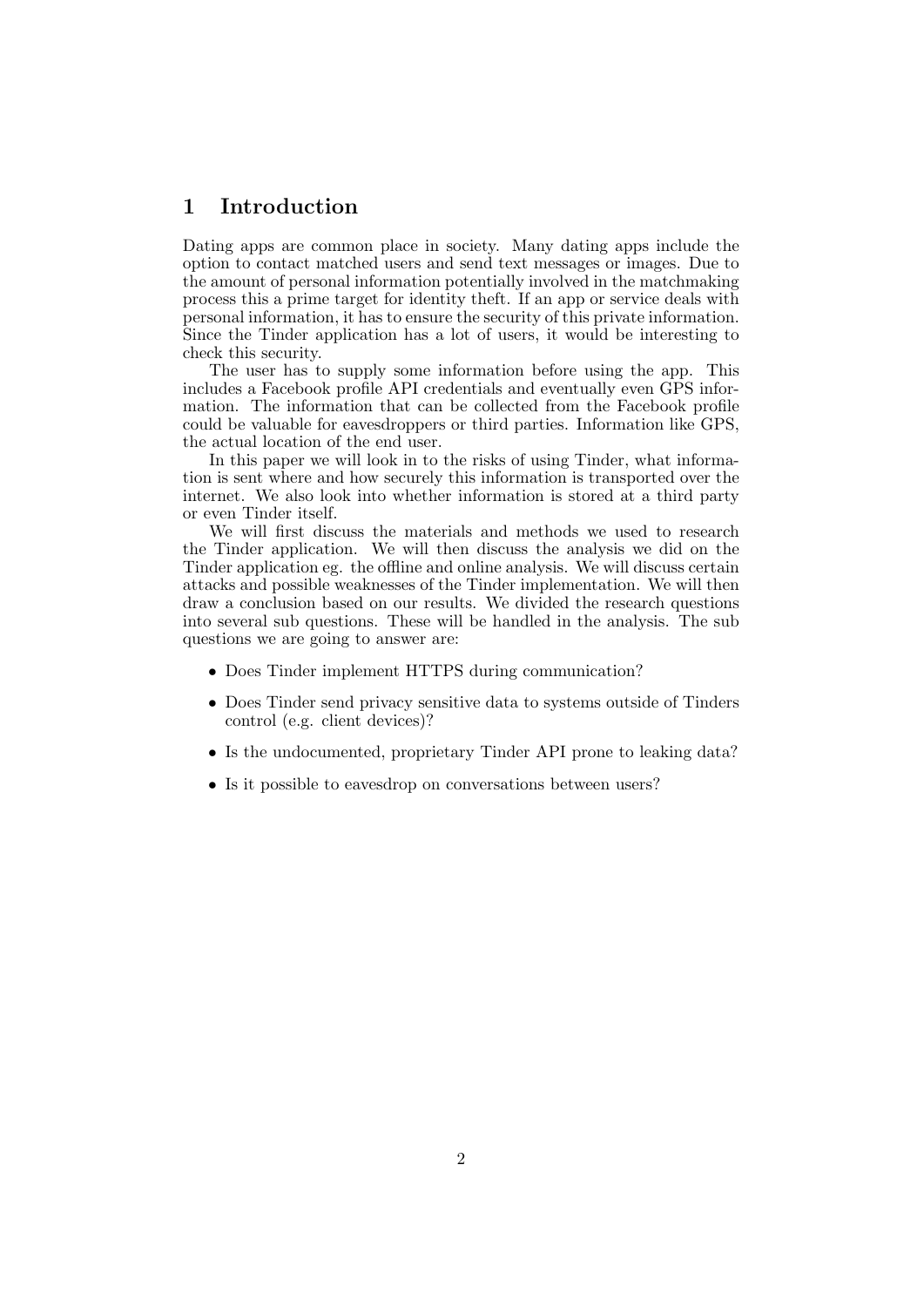# <span id="page-2-0"></span>1 Introduction

Dating apps are common place in society. Many dating apps include the option to contact matched users and send text messages or images. Due to the amount of personal information potentially involved in the matchmaking process this a prime target for identity theft. If an app or service deals with personal information, it has to ensure the security of this private information. Since the Tinder application has a lot of users, it would be interesting to check this security.

The user has to supply some information before using the app. This includes a Facebook profile API credentials and eventually even GPS information. The information that can be collected from the Facebook profile could be valuable for eavesdroppers or third parties. Information like GPS, the actual location of the end user.

In this paper we will look in to the risks of using Tinder, what information is sent where and how securely this information is transported over the internet. We also look into whether information is stored at a third party or even Tinder itself.

We will first discuss the materials and methods we used to research the Tinder application. We will then discuss the analysis we did on the Tinder application eg. the offline and online analysis. We will discuss certain attacks and possible weaknesses of the Tinder implementation. We will then draw a conclusion based on our results. We divided the research questions into several sub questions. These will be handled in the analysis. The sub questions we are going to answer are:

- Does Tinder implement HTTPS during communication?
- Does Tinder send privacy sensitive data to systems outside of Tinders control (e.g. client devices)?
- Is the undocumented, proprietary Tinder API prone to leaking data?
- Is it possible to eavesdrop on conversations between users?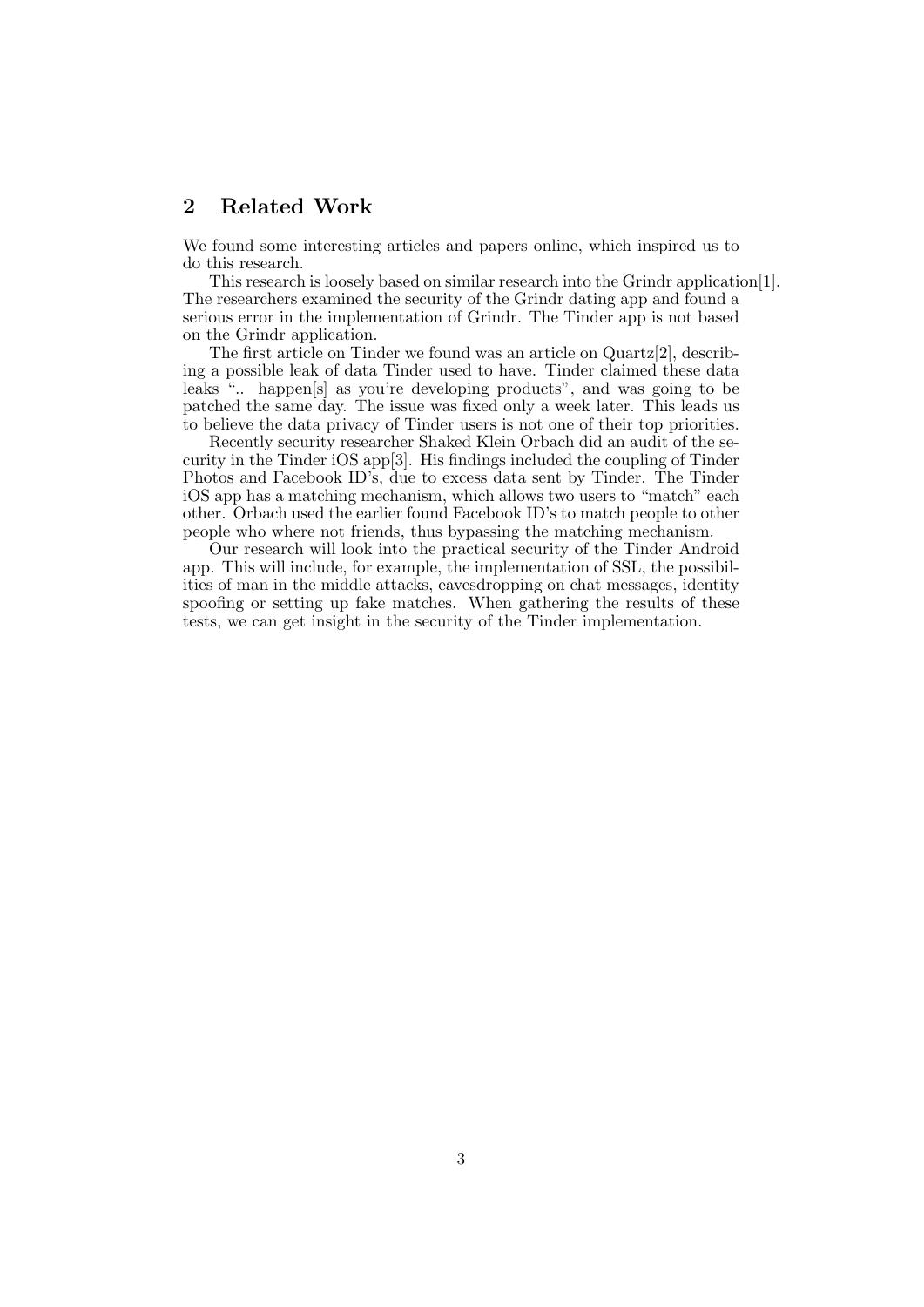# <span id="page-3-0"></span>2 Related Work

We found some interesting articles and papers online, which inspired us to do this research.

This research is loosely based on similar research into the Grindr application[\[1\]](#page-14-0). The researchers examined the security of the Grindr dating app and found a serious error in the implementation of Grindr. The Tinder app is not based on the Grindr application.

The first article on Tinder we found was an article on Quartz[\[2\]](#page-14-1), describing a possible leak of data Tinder used to have. Tinder claimed these data leaks ".. happen[s] as you're developing products", and was going to be patched the same day. The issue was fixed only a week later. This leads us to believe the data privacy of Tinder users is not one of their top priorities.

Recently security researcher Shaked Klein Orbach did an audit of the security in the Tinder iOS app[\[3\]](#page-14-2). His findings included the coupling of Tinder Photos and Facebook ID's, due to excess data sent by Tinder. The Tinder iOS app has a matching mechanism, which allows two users to "match" each other. Orbach used the earlier found Facebook ID's to match people to other people who where not friends, thus bypassing the matching mechanism.

Our research will look into the practical security of the Tinder Android app. This will include, for example, the implementation of SSL, the possibilities of man in the middle attacks, eavesdropping on chat messages, identity spoofing or setting up fake matches. When gathering the results of these tests, we can get insight in the security of the Tinder implementation.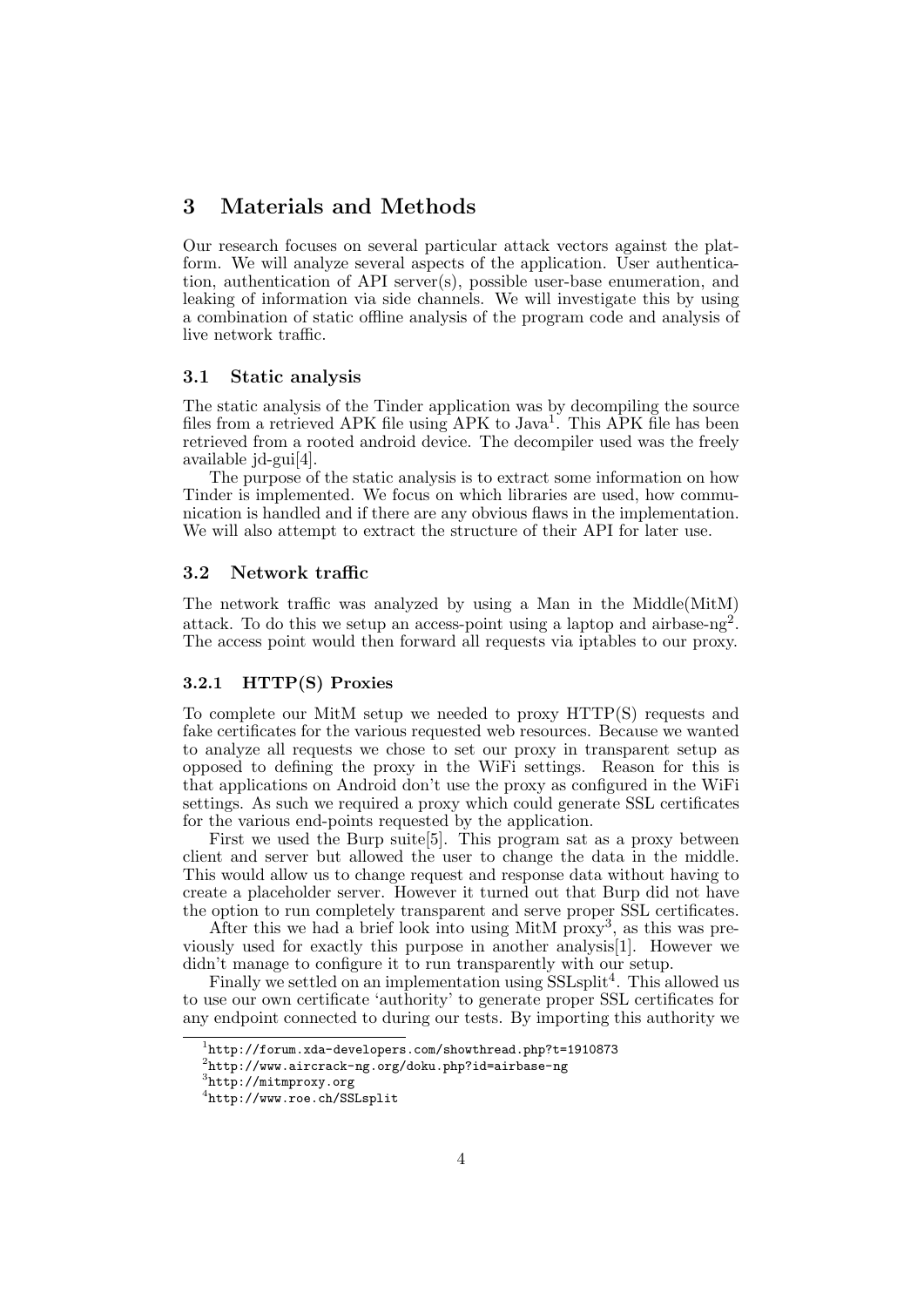# <span id="page-4-0"></span>3 Materials and Methods

Our research focuses on several particular attack vectors against the platform. We will analyze several aspects of the application. User authentication, authentication of API server(s), possible user-base enumeration, and leaking of information via side channels. We will investigate this by using a combination of static offline analysis of the program code and analysis of live network traffic.

## <span id="page-4-1"></span>3.1 Static analysis

The static analysis of the Tinder application was by decompiling the source files from a retrieved APK file using APK to Java<sup>[1](#page-4-4)</sup>. This APK file has been retrieved from a rooted android device. The decompiler used was the freely available jd-gui[\[4\]](#page-14-3).

The purpose of the static analysis is to extract some information on how Tinder is implemented. We focus on which libraries are used, how communication is handled and if there are any obvious flaws in the implementation. We will also attempt to extract the structure of their API for later use.

# <span id="page-4-2"></span>3.2 Network traffic

The network traffic was analyzed by using a Man in the Middle(MitM) attack. To do this we setup an access-point using a laptop and airbase-ng<sup>[2](#page-4-5)</sup>. The access point would then forward all requests via iptables to our proxy.

#### <span id="page-4-3"></span>3.2.1 HTTP(S) Proxies

To complete our MitM setup we needed to proxy HTTP(S) requests and fake certificates for the various requested web resources. Because we wanted to analyze all requests we chose to set our proxy in transparent setup as opposed to defining the proxy in the WiFi settings. Reason for this is that applications on Android don't use the proxy as configured in the WiFi settings. As such we required a proxy which could generate SSL certificates for the various end-points requested by the application.

First we used the Burp suite[\[5\]](#page-14-4). This program sat as a proxy between client and server but allowed the user to change the data in the middle. This would allow us to change request and response data without having to create a placeholder server. However it turned out that Burp did not have the option to run completely transparent and serve proper SSL certificates.

After this we had a brief look into using MitM  $\overline{\text{prox}}$ , as this was previously used for exactly this purpose in another analysis[\[1\]](#page-14-0). However we didn't manage to configure it to run transparently with our setup.

Finally we settled on an implementation using  $SSLsplit<sup>4</sup>$  $SSLsplit<sup>4</sup>$  $SSLsplit<sup>4</sup>$ . This allowed us to use our own certificate 'authority' to generate proper SSL certificates for any endpoint connected to during our tests. By importing this authority we

<span id="page-4-4"></span> $^{1}$ <http://forum.xda-developers.com/showthread.php?t=1910873>

<span id="page-4-5"></span> $^{2}$ <http://www.aircrack-ng.org/doku.php?id=airbase-ng>

<span id="page-4-6"></span><sup>3</sup> <http://mitmproxy.org>

<span id="page-4-7"></span><sup>4</sup> <http://www.roe.ch/SSLsplit>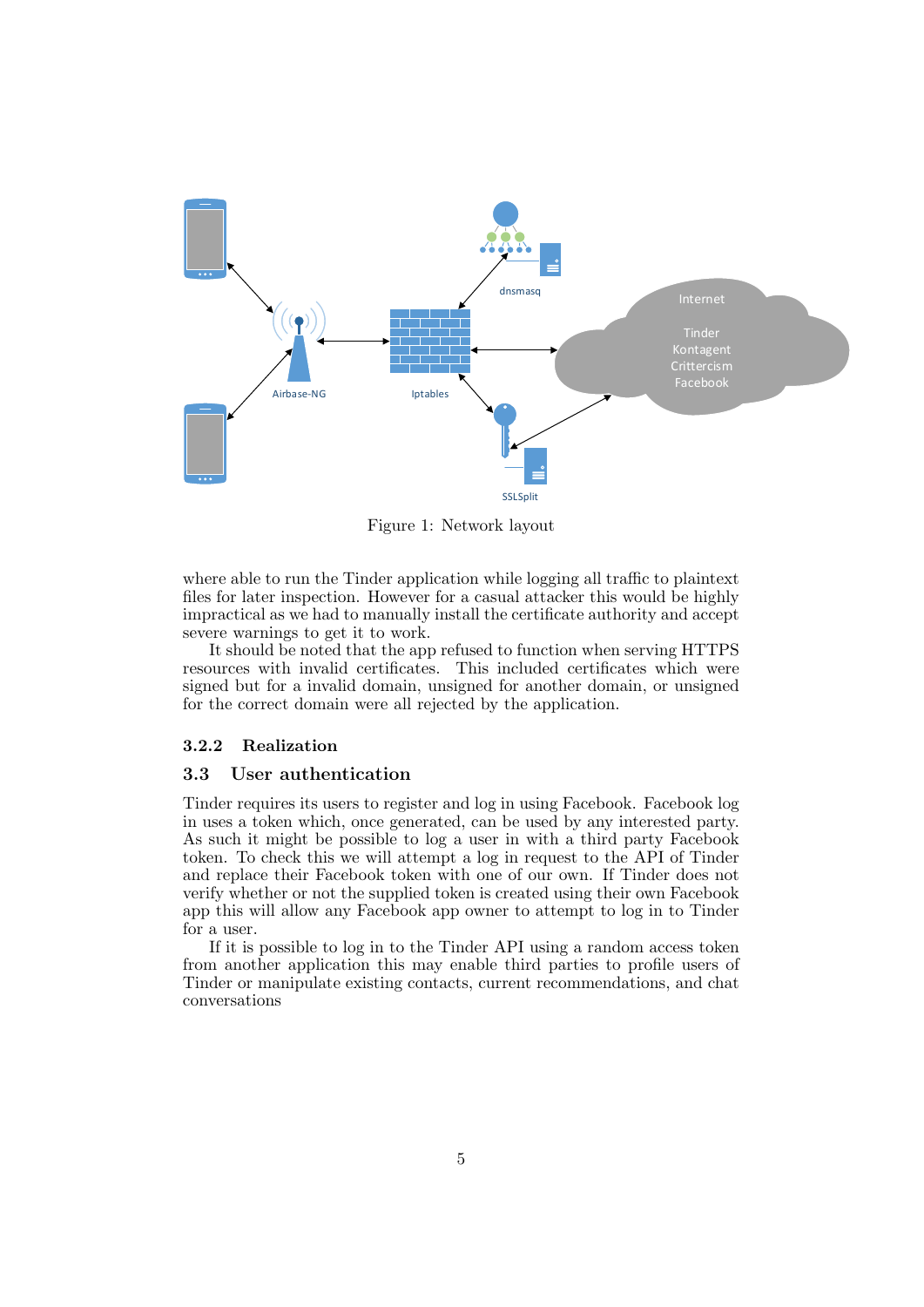

Figure 1: Network layout

where able to run the Tinder application while logging all traffic to plaintext files for later inspection. However for a casual attacker this would be highly impractical as we had to manually install the certificate authority and accept severe warnings to get it to work.

It should be noted that the app refused to function when serving HTTPS resources with invalid certificates. This included certificates which were signed but for a invalid domain, unsigned for another domain, or unsigned for the correct domain were all rejected by the application.

## <span id="page-5-0"></span>3.2.2 Realization

### <span id="page-5-1"></span>3.3 User authentication

Tinder requires its users to register and log in using Facebook. Facebook log in uses a token which, once generated, can be used by any interested party. As such it might be possible to log a user in with a third party Facebook token. To check this we will attempt a log in request to the API of Tinder and replace their Facebook token with one of our own. If Tinder does not verify whether or not the supplied token is created using their own Facebook app this will allow any Facebook app owner to attempt to log in to Tinder for a user.

If it is possible to log in to the Tinder API using a random access token from another application this may enable third parties to profile users of Tinder or manipulate existing contacts, current recommendations, and chat conversations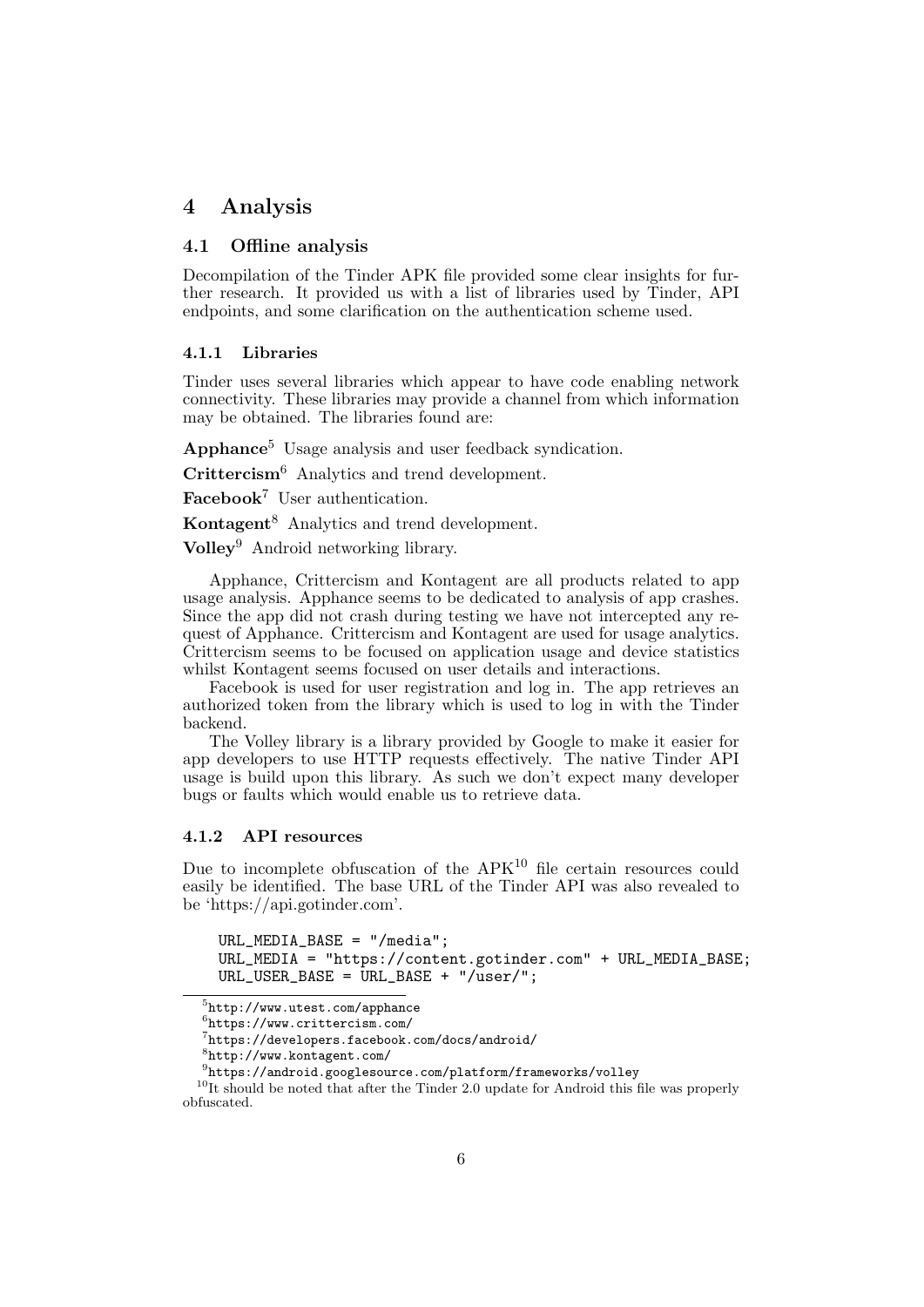# <span id="page-6-0"></span>4 Analysis

# <span id="page-6-1"></span>4.1 Offline analysis

Decompilation of the Tinder APK file provided some clear insights for further research. It provided us with a list of libraries used by Tinder, API endpoints, and some clarification on the authentication scheme used.

## <span id="page-6-2"></span>4.1.1 Libraries

Tinder uses several libraries which appear to have code enabling network connectivity. These libraries may provide a channel from which information may be obtained. The libraries found are:

Apphance<sup>[5](#page-6-4)</sup> Usage analysis and user feedback syndication.

Crittercism<sup>[6](#page-6-5)</sup> Analytics and trend development.

Facebook<sup>[7](#page-6-6)</sup> User authentication.

Kontagent[8](#page-6-7) Analytics and trend development.

Volley[9](#page-6-8) Android networking library.

Apphance, Crittercism and Kontagent are all products related to app usage analysis. Apphance seems to be dedicated to analysis of app crashes. Since the app did not crash during testing we have not intercepted any request of Apphance. Crittercism and Kontagent are used for usage analytics. Crittercism seems to be focused on application usage and device statistics whilst Kontagent seems focused on user details and interactions.

Facebook is used for user registration and log in. The app retrieves an authorized token from the library which is used to log in with the Tinder backend.

The Volley library is a library provided by Google to make it easier for app developers to use HTTP requests effectively. The native Tinder API usage is build upon this library. As such we don't expect many developer bugs or faults which would enable us to retrieve data.

#### <span id="page-6-3"></span>4.1.2 API resources

Due to incomplete obfuscation of the  $APK<sup>10</sup>$  $APK<sup>10</sup>$  $APK<sup>10</sup>$  file certain resources could easily be identified. The base URL of the Tinder API was also revealed to be 'https://api.gotinder.com'.

URL\_MEDIA\_BASE = "/media"; URL\_MEDIA = "https://content.gotinder.com" + URL\_MEDIA\_BASE;  $URL_USER_BASE = URL_BASE + "/user/";$ 

<span id="page-6-4"></span> $^{5}$ <http://www.utest.com/apphance>

<span id="page-6-5"></span><sup>6</sup> <https://www.crittercism.com/>

<span id="page-6-6"></span><sup>7</sup> <https://developers.facebook.com/docs/android/>

<span id="page-6-7"></span><sup>8</sup> <http://www.kontagent.com/>

<span id="page-6-9"></span><span id="page-6-8"></span> $^{9}$ <https://android.googlesource.com/platform/frameworks/volley>

<sup>&</sup>lt;sup>10</sup>It should be noted that after the Tinder 2.0 update for Android this file was properly obfuscated.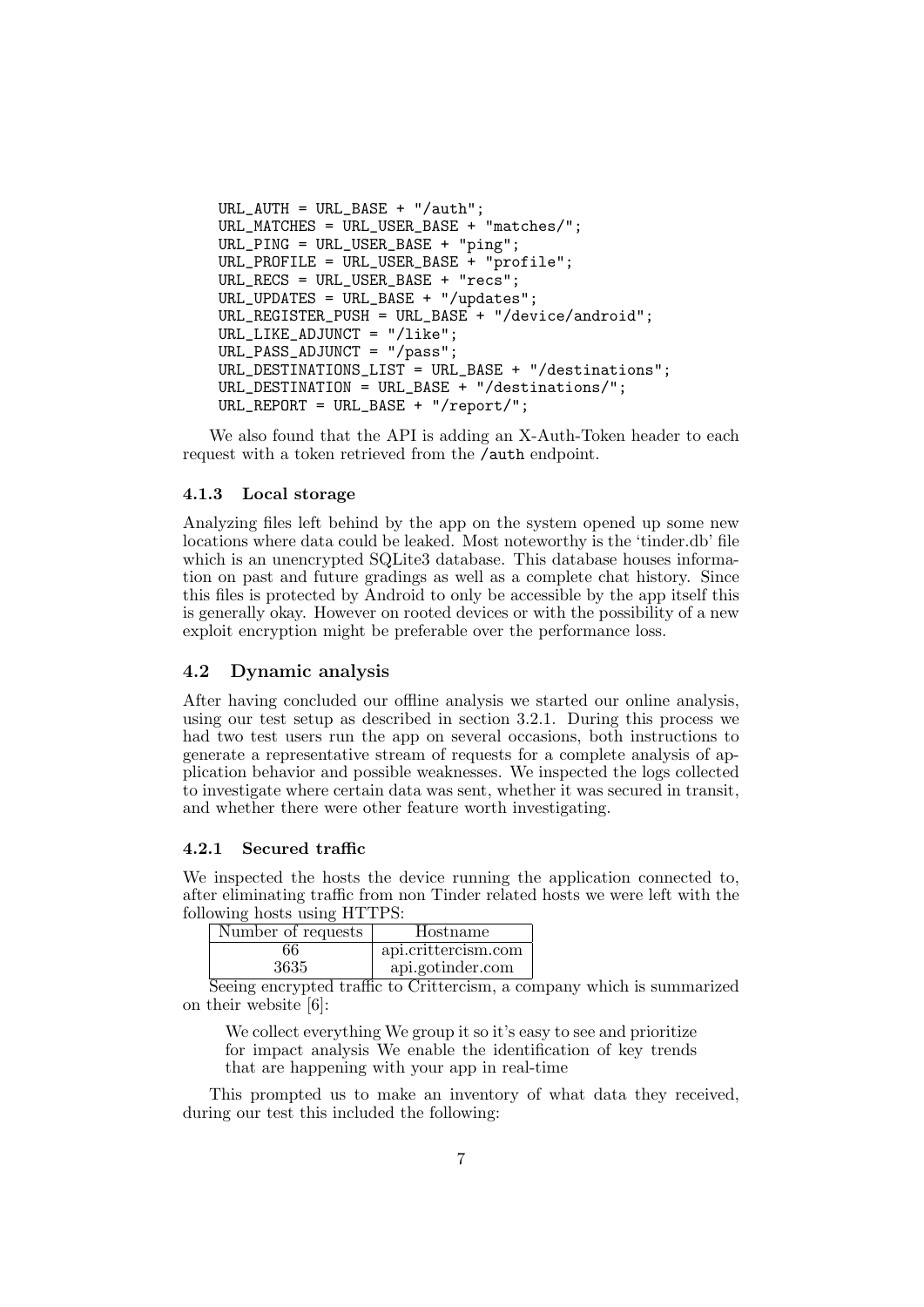```
URL_AUTH = URL_BASE + "/auth";URL_MATCHES = URL_USER_BASE + "matches/";
URL_PING = URL_USER_BASE + "ping";
URL_PROFILE = URL_USER_BASE + "profile";
URL_RECS = URL_USER_BASE + "recs";
URL_UPDATES = URL_BASE + "/updates";
URL_REGISTER_PUSH = URL_BASE + "/device/android";
URL LIKE ADJUNCT = ''/like":
URL_PASS_ADJUNCT = "/pass";
URL_DESTINATIONS_LIST = URL_BASE + "/destinations";
URL DESTINATION = URL BASE + "/destinations/";
URL_REPORT = URL_BASE + "/report/";
```
We also found that the API is adding an X-Auth-Token header to each request with a token retrieved from the /auth endpoint.

### <span id="page-7-0"></span>4.1.3 Local storage

Analyzing files left behind by the app on the system opened up some new locations where data could be leaked. Most noteworthy is the 'tinder.db' file which is an unencrypted SQLite3 database. This database houses information on past and future gradings as well as a complete chat history. Since this files is protected by Android to only be accessible by the app itself this is generally okay. However on rooted devices or with the possibility of a new exploit encryption might be preferable over the performance loss.

# <span id="page-7-1"></span>4.2 Dynamic analysis

After having concluded our offline analysis we started our online analysis, using our test setup as described in section [3.2.1.](#page-4-3) During this process we had two test users run the app on several occasions, both instructions to generate a representative stream of requests for a complete analysis of application behavior and possible weaknesses. We inspected the logs collected to investigate where certain data was sent, whether it was secured in transit, and whether there were other feature worth investigating.

#### <span id="page-7-2"></span>4.2.1 Secured traffic

We inspected the hosts the device running the application connected to, after eliminating traffic from non Tinder related hosts we were left with the following hosts using HTTPS:

| Number of requests                      | Hostname                          |
|-----------------------------------------|-----------------------------------|
| 66                                      | api.crittercism.com               |
| 3635<br>$\sim$<br>$\tilde{\phantom{a}}$ | api.gotinder.com<br>$\sim$ $\sim$ |

Seeing encrypted traffic to Crittercism, a company which is summarized on their website [\[6\]](#page-14-5):

We collect everything We group it so it's easy to see and prioritize for impact analysis We enable the identification of key trends that are happening with your app in real-time

This prompted us to make an inventory of what data they received, during our test this included the following: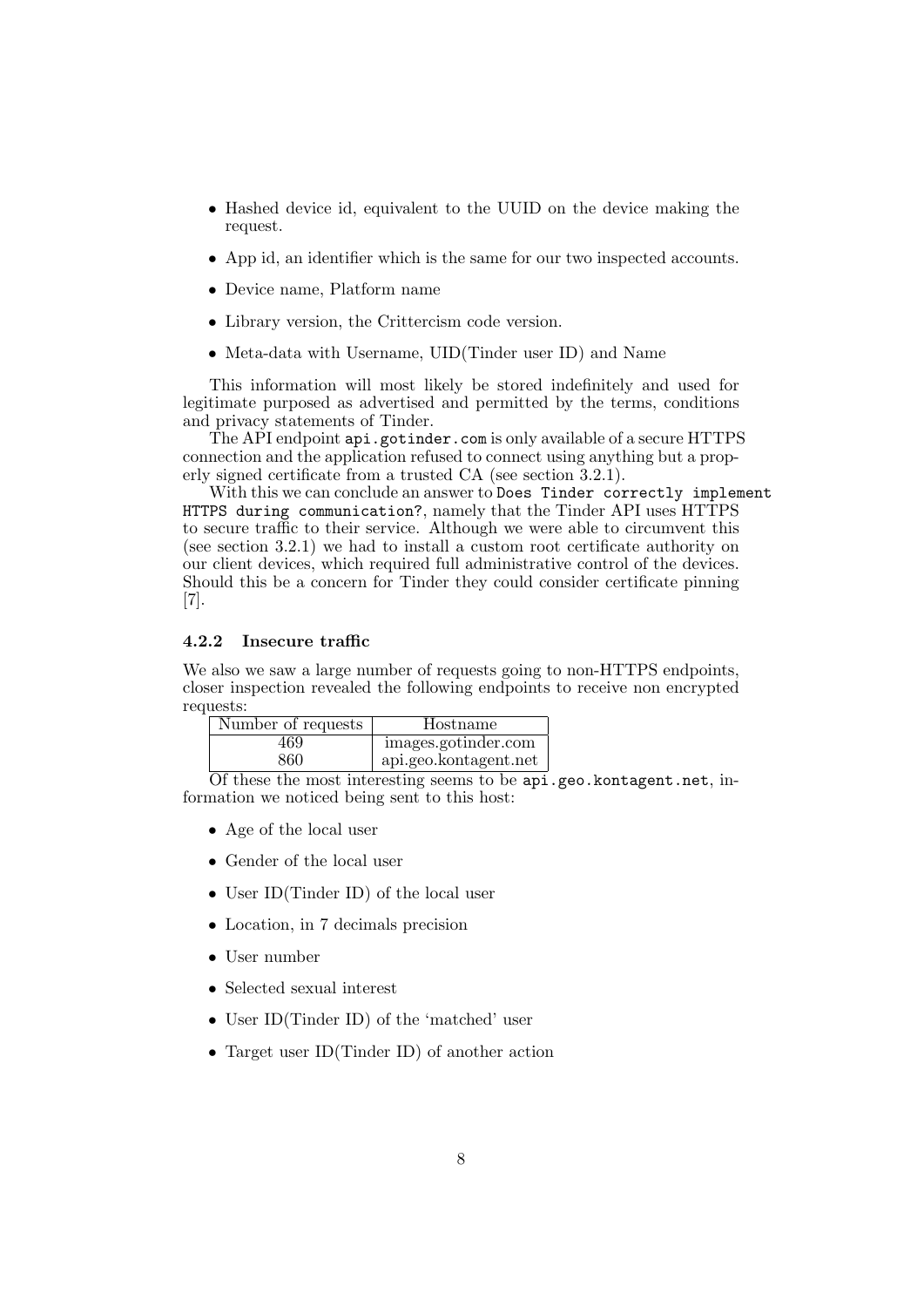- Hashed device id, equivalent to the UUID on the device making the request.
- App id, an identifier which is the same for our two inspected accounts.
- Device name, Platform name
- Library version, the Crittercism code version.
- Meta-data with Username, UID(Tinder user ID) and Name

This information will most likely be stored indefinitely and used for legitimate purposed as advertised and permitted by the terms, conditions and privacy statements of Tinder.

The API endpoint api.gotinder.com is only available of a secure HTTPS connection and the application refused to connect using anything but a properly signed certificate from a trusted CA (see section [3.2.1\)](#page-4-3).

With this we can conclude an answer to Does Tinder correctly implement HTTPS during communication?, namely that the Tinder API uses HTTPS to secure traffic to their service. Although we were able to circumvent this (see section [3.2.1\)](#page-4-3) we had to install a custom root certificate authority on our client devices, which required full administrative control of the devices. Should this be a concern for Tinder they could consider certificate pinning [\[7\]](#page-14-6).

#### <span id="page-8-0"></span>4.2.2 Insecure traffic

We also we saw a large number of requests going to non-HTTPS endpoints, closer inspection revealed the following endpoints to receive non encrypted requests:

| Number of requests | Hostname              |
|--------------------|-----------------------|
| 469                | images.gotinder.com   |
| 860                | api.geo.kontagent.net |

Of these the most interesting seems to be  $api$ .geo.kontagent.net, information we noticed being sent to this host:

- Age of the local user
- Gender of the local user
- User ID(Tinder ID) of the local user
- Location, in 7 decimals precision
- User number
- Selected sexual interest
- User ID(Tinder ID) of the 'matched' user
- Target user ID(Tinder ID) of another action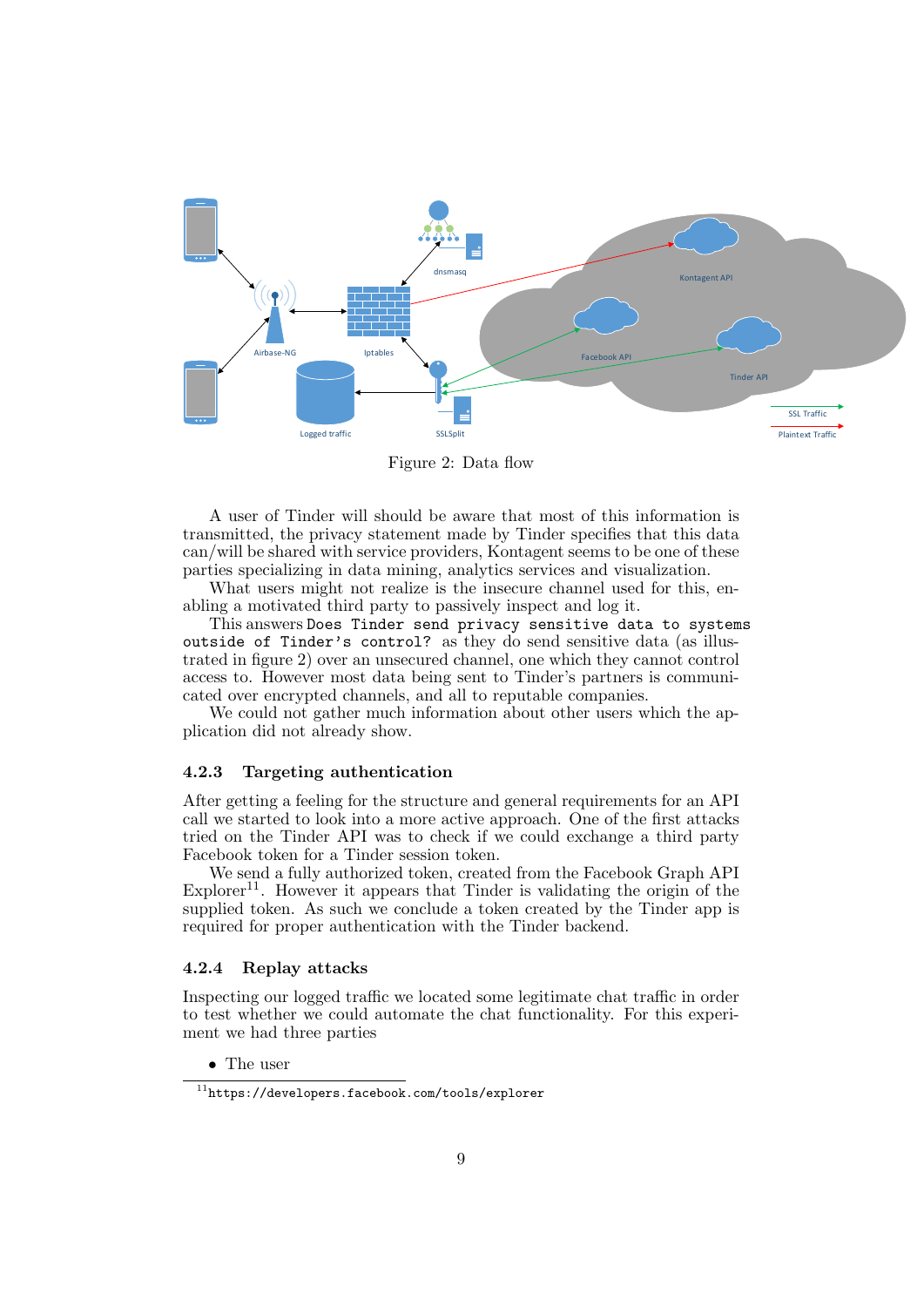<span id="page-9-2"></span>

Figure 2: Data flow

A user of Tinder will should be aware that most of this information is transmitted, the privacy statement made by Tinder specifies that this data can/will be shared with service providers, Kontagent seems to be one of these parties specializing in data mining, analytics services and visualization.

What users might not realize is the insecure channel used for this, enabling a motivated third party to passively inspect and log it.

This answers Does Tinder send privacy sensitive data to systems outside of Tinder's control? as they do send sensitive data (as illustrated in figure [2\)](#page-9-2) over an unsecured channel, one which they cannot control access to. However most data being sent to Tinder's partners is communicated over encrypted channels, and all to reputable companies.

We could not gather much information about other users which the application did not already show.

# <span id="page-9-0"></span>4.2.3 Targeting authentication

After getting a feeling for the structure and general requirements for an API call we started to look into a more active approach. One of the first attacks tried on the Tinder API was to check if we could exchange a third party Facebook token for a Tinder session token.

We send a fully authorized token, created from the Facebook Graph API  $Explorer<sup>11</sup>$  $Explorer<sup>11</sup>$  $Explorer<sup>11</sup>$ . However it appears that Tinder is validating the origin of the supplied token. As such we conclude a token created by the Tinder app is required for proper authentication with the Tinder backend.

## <span id="page-9-1"></span>4.2.4 Replay attacks

Inspecting our logged traffic we located some legitimate chat traffic in order to test whether we could automate the chat functionality. For this experiment we had three parties

• The user

<span id="page-9-3"></span> $^{11}\mathrm{https://developers.facebook.com/tools/explorer}$  $^{11}\mathrm{https://developers.facebook.com/tools/explorer}$  $^{11}\mathrm{https://developers.facebook.com/tools/explorer}$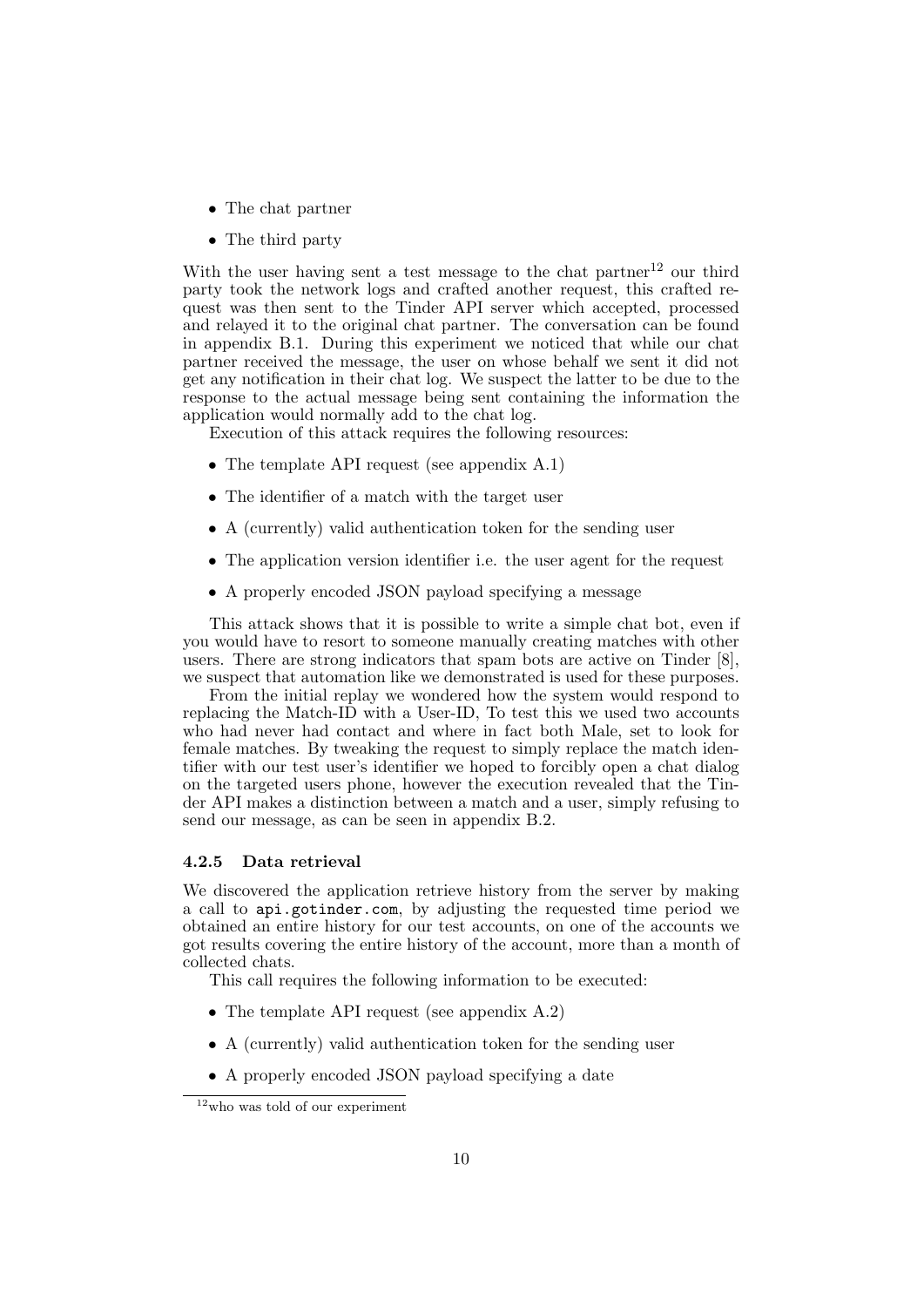- The chat partner
- The third party

With the user having sent a test message to the chat partner<sup>[12](#page-10-1)</sup> our third party took the network logs and crafted another request, this crafted request was then sent to the Tinder API server which accepted, processed and relayed it to the original chat partner. The conversation can be found in appendix [B.1.](#page-15-4) During this experiment we noticed that while our chat partner received the message, the user on whose behalf we sent it did not get any notification in their chat log. We suspect the latter to be due to the response to the actual message being sent containing the information the application would normally add to the chat log.

Execution of this attack requires the following resources:

- The template API request (see appendix [A.1\)](#page-15-1)
- The identifier of a match with the target user
- A (currently) valid authentication token for the sending user
- The application version identifier i.e. the user agent for the request
- A properly encoded JSON payload specifying a message

This attack shows that it is possible to write a simple chat bot, even if you would have to resort to someone manually creating matches with other users. There are strong indicators that spam bots are active on Tinder [\[8\]](#page-14-7), we suspect that automation like we demonstrated is used for these purposes.

From the initial replay we wondered how the system would respond to replacing the Match-ID with a User-ID, To test this we used two accounts who had never had contact and where in fact both Male, set to look for female matches. By tweaking the request to simply replace the match identifier with our test user's identifier we hoped to forcibly open a chat dialog on the targeted users phone, however the execution revealed that the Tinder API makes a distinction between a match and a user, simply refusing to send our message, as can be seen in appendix [B.2.](#page-16-0)

#### <span id="page-10-0"></span>4.2.5 Data retrieval

We discovered the application retrieve history from the server by making a call to api.gotinder.com, by adjusting the requested time period we obtained an entire history for our test accounts, on one of the accounts we got results covering the entire history of the account, more than a month of collected chats.

This call requires the following information to be executed:

- The template API request (see appendix [A.2\)](#page-15-2)
- A (currently) valid authentication token for the sending user
- A properly encoded JSON payload specifying a date

<span id="page-10-1"></span> $12$ who was told of our experiment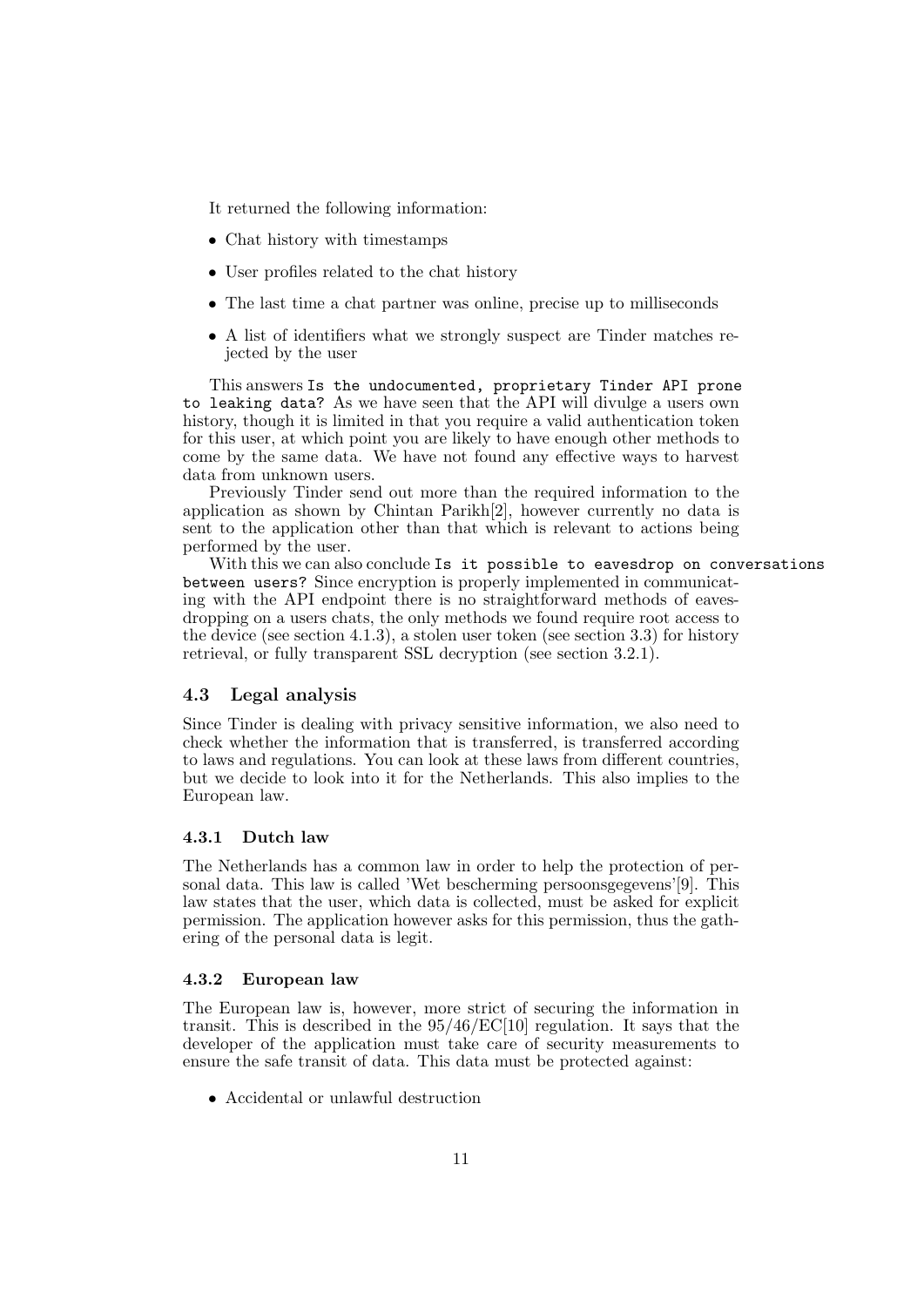It returned the following information:

- Chat history with timestamps
- User profiles related to the chat history
- The last time a chat partner was online, precise up to milliseconds
- A list of identifiers what we strongly suspect are Tinder matches rejected by the user

This answers Is the undocumented, proprietary Tinder API prone to leaking data? As we have seen that the API will divulge a users own history, though it is limited in that you require a valid authentication token for this user, at which point you are likely to have enough other methods to come by the same data. We have not found any effective ways to harvest data from unknown users.

Previously Tinder send out more than the required information to the application as shown by Chintan Parikh[\[2\]](#page-14-1), however currently no data is sent to the application other than that which is relevant to actions being performed by the user.

With this we can also conclude Is it possible to eavesdrop on conversations between users? Since encryption is properly implemented in communicating with the API endpoint there is no straightforward methods of eavesdropping on a users chats, the only methods we found require root access to the device (see section [4.1.3\)](#page-7-0), a stolen user token (see section [3.3\)](#page-5-1) for history retrieval, or fully transparent SSL decryption (see section [3.2.1\)](#page-4-3).

## <span id="page-11-0"></span>4.3 Legal analysis

Since Tinder is dealing with privacy sensitive information, we also need to check whether the information that is transferred, is transferred according to laws and regulations. You can look at these laws from different countries, but we decide to look into it for the Netherlands. This also implies to the European law.

#### <span id="page-11-1"></span>4.3.1 Dutch law

The Netherlands has a common law in order to help the protection of personal data. This law is called 'Wet bescherming persoonsgegevens'[\[9\]](#page-14-8). This law states that the user, which data is collected, must be asked for explicit permission. The application however asks for this permission, thus the gathering of the personal data is legit.

#### <span id="page-11-2"></span>4.3.2 European law

The European law is, however, more strict of securing the information in transit. This is described in the 95/46/EC[\[10\]](#page-14-9) regulation. It says that the developer of the application must take care of security measurements to ensure the safe transit of data. This data must be protected against:

• Accidental or unlawful destruction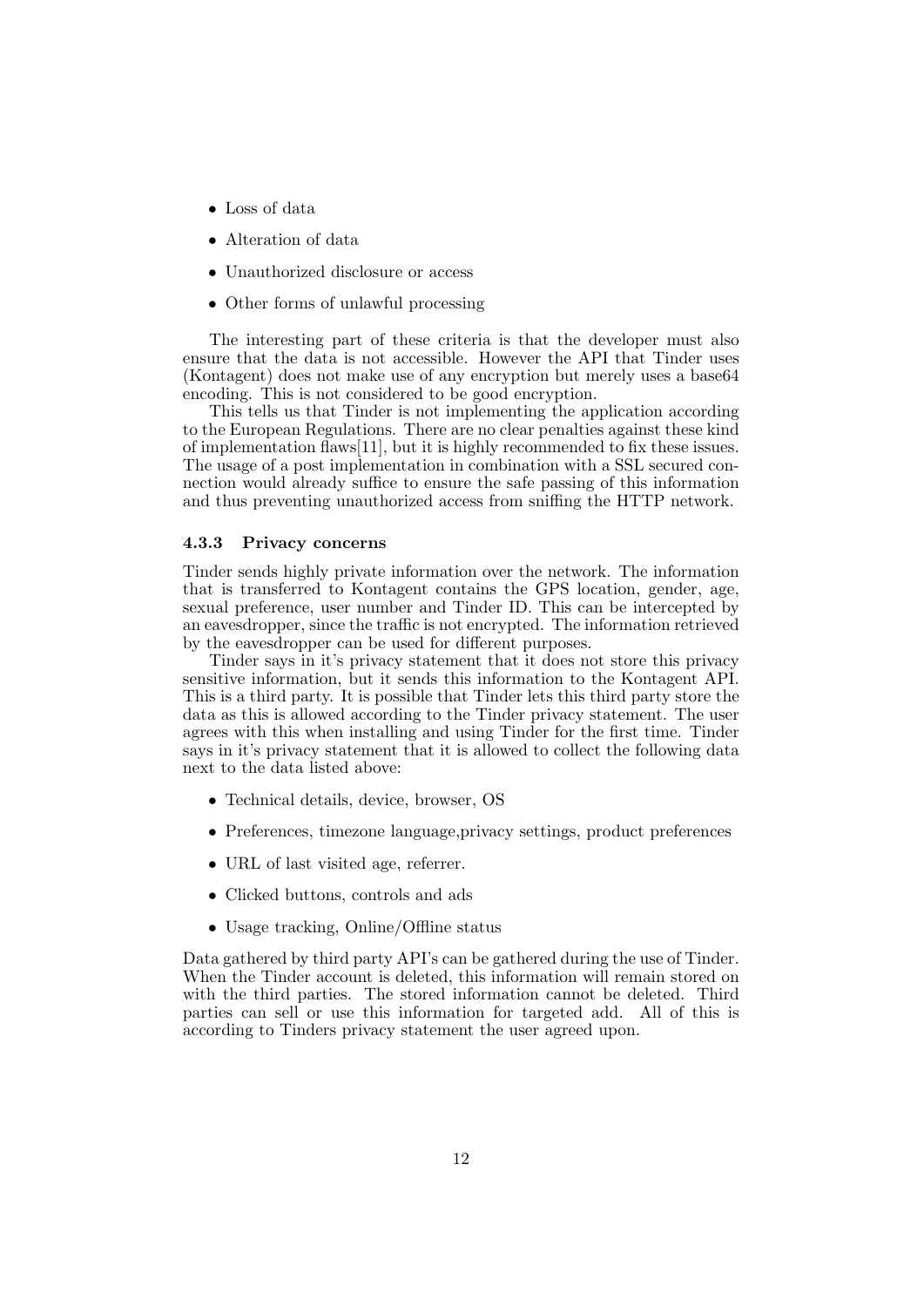- Loss of data
- Alteration of data
- Unauthorized disclosure or access
- Other forms of unlawful processing

The interesting part of these criteria is that the developer must also ensure that the data is not accessible. However the API that Tinder uses (Kontagent) does not make use of any encryption but merely uses a base64 encoding. This is not considered to be good encryption.

This tells us that Tinder is not implementing the application according to the European Regulations. There are no clear penalties against these kind of implementation flaws[\[11\]](#page-14-10), but it is highly recommended to fix these issues. The usage of a post implementation in combination with a SSL secured connection would already suffice to ensure the safe passing of this information and thus preventing unauthorized access from sniffing the HTTP network.

#### <span id="page-12-0"></span>4.3.3 Privacy concerns

Tinder sends highly private information over the network. The information that is transferred to Kontagent contains the GPS location, gender, age, sexual preference, user number and Tinder ID. This can be intercepted by an eavesdropper, since the traffic is not encrypted. The information retrieved by the eavesdropper can be used for different purposes.

Tinder says in it's privacy statement that it does not store this privacy sensitive information, but it sends this information to the Kontagent API. This is a third party. It is possible that Tinder lets this third party store the data as this is allowed according to the Tinder privacy statement. The user agrees with this when installing and using Tinder for the first time. Tinder says in it's privacy statement that it is allowed to collect the following data next to the data listed above:

- Technical details, device, browser, OS
- Preferences, timezone language,privacy settings, product preferences
- URL of last visited age, referrer.
- Clicked buttons, controls and ads
- Usage tracking, Online/Offline status

Data gathered by third party API's can be gathered during the use of Tinder. When the Tinder account is deleted, this information will remain stored on with the third parties. The stored information cannot be deleted. Third parties can sell or use this information for targeted add. All of this is according to Tinders privacy statement the user agreed upon.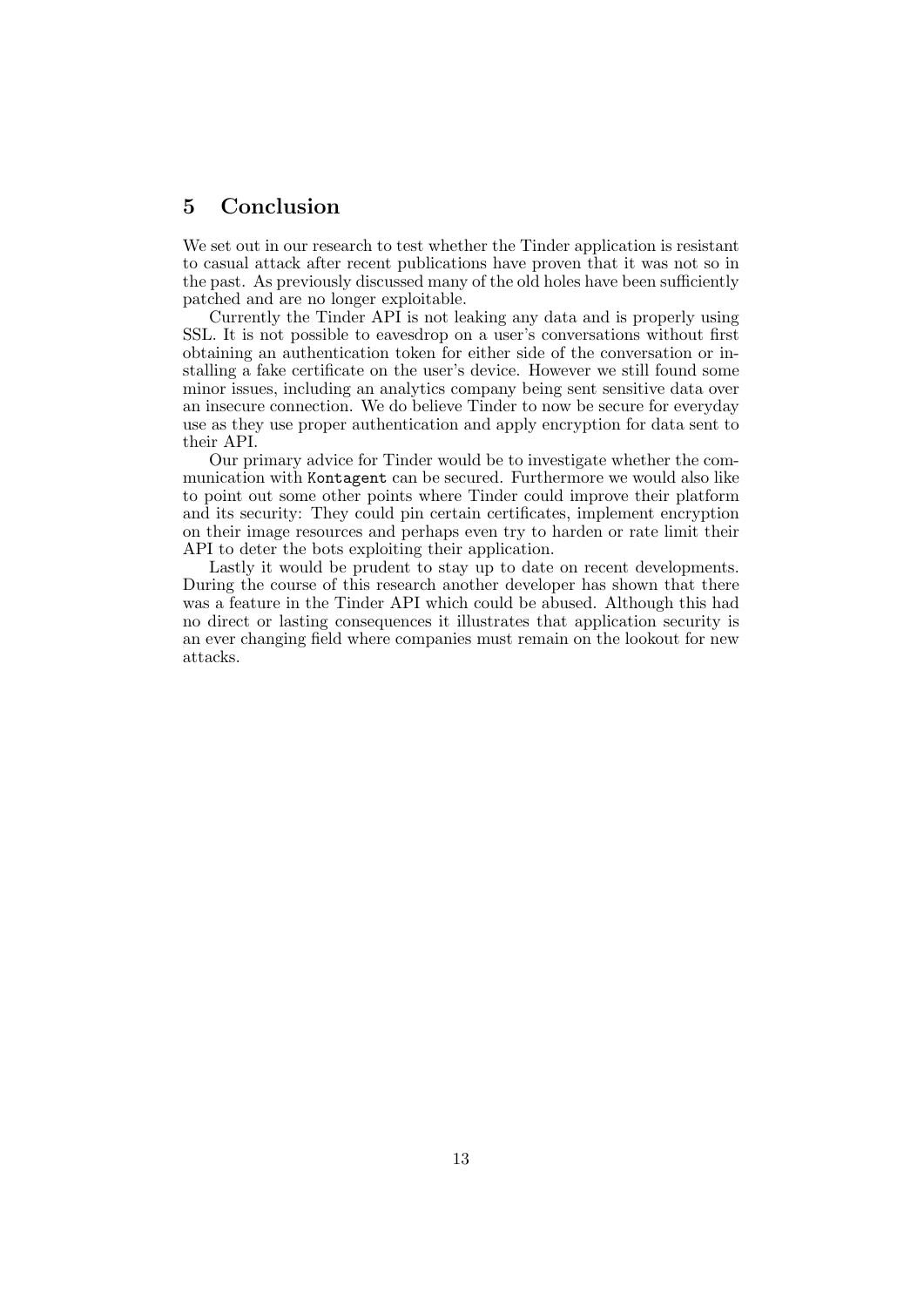# <span id="page-13-0"></span>5 Conclusion

We set out in our research to test whether the Tinder application is resistant to casual attack after recent publications have proven that it was not so in the past. As previously discussed many of the old holes have been sufficiently patched and are no longer exploitable.

Currently the Tinder API is not leaking any data and is properly using SSL. It is not possible to eavesdrop on a user's conversations without first obtaining an authentication token for either side of the conversation or installing a fake certificate on the user's device. However we still found some minor issues, including an analytics company being sent sensitive data over an insecure connection. We do believe Tinder to now be secure for everyday use as they use proper authentication and apply encryption for data sent to their API.

Our primary advice for Tinder would be to investigate whether the communication with Kontagent can be secured. Furthermore we would also like to point out some other points where Tinder could improve their platform and its security: They could pin certain certificates, implement encryption on their image resources and perhaps even try to harden or rate limit their API to deter the bots exploiting their application.

Lastly it would be prudent to stay up to date on recent developments. During the course of this research another developer has shown that there was a feature in the Tinder API which could be abused. Although this had no direct or lasting consequences it illustrates that application security is an ever changing field where companies must remain on the lookout for new attacks.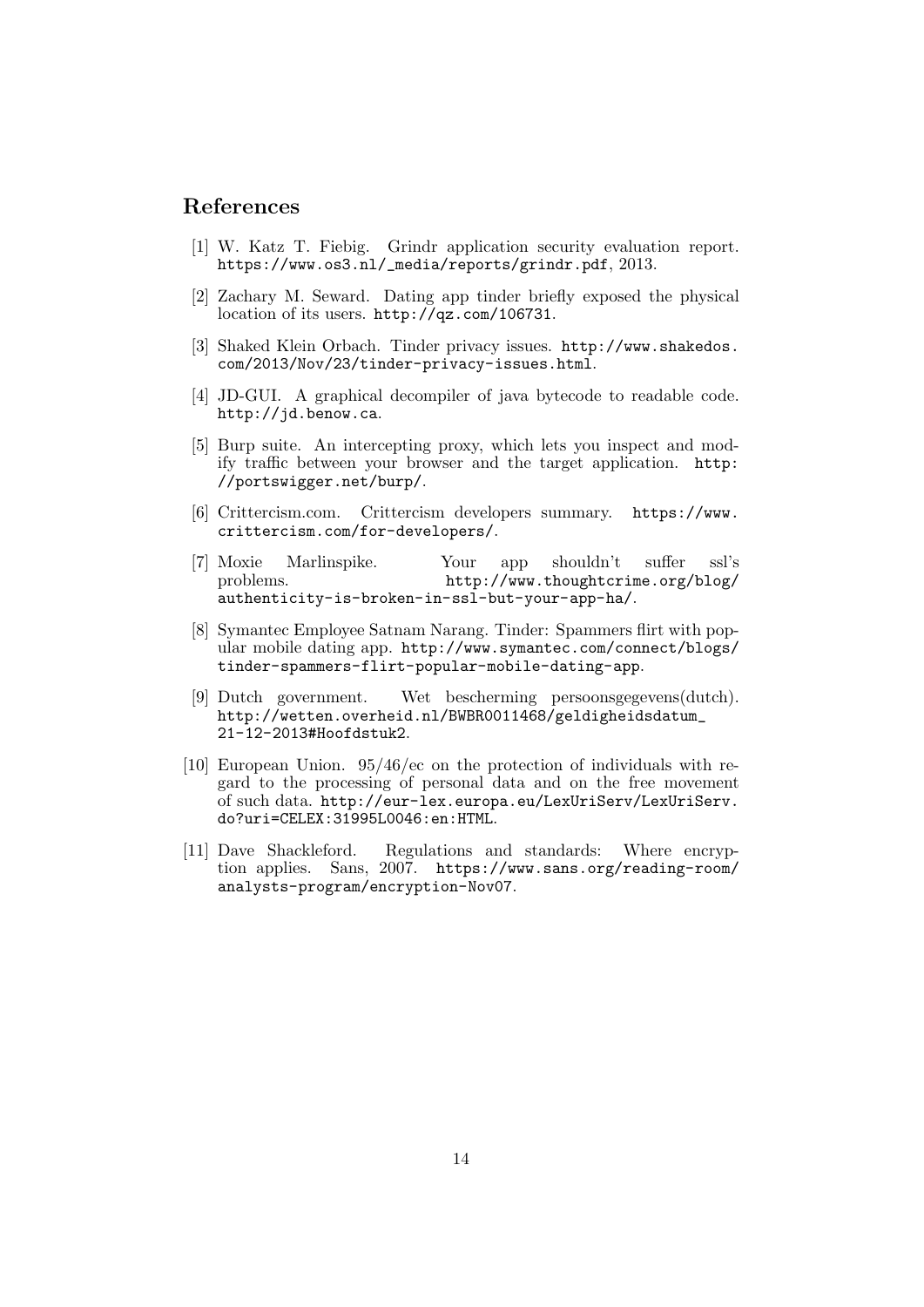# References

- <span id="page-14-0"></span>[1] W. Katz T. Fiebig. Grindr application security evaluation report. [https://www.os3.nl/\\_media/reports/grindr.pdf](https://www.os3.nl/_media/reports/grindr.pdf), 2013.
- <span id="page-14-1"></span>[2] Zachary M. Seward. Dating app tinder briefly exposed the physical location of its users. <http://qz.com/106731>.
- <span id="page-14-2"></span>[3] Shaked Klein Orbach. Tinder privacy issues. [http://www.shakedos.](http://www.shakedos.com/2013/Nov/23/tinder-privacy-issues.html) [com/2013/Nov/23/tinder-privacy-issues.html](http://www.shakedos.com/2013/Nov/23/tinder-privacy-issues.html).
- <span id="page-14-3"></span>[4] JD-GUI. A graphical decompiler of java bytecode to readable code. <http://jd.benow.ca>.
- <span id="page-14-4"></span>[5] Burp suite. An intercepting proxy, which lets you inspect and modify traffic between your browser and the target application. [http:](http://portswigger.net/burp/) [//portswigger.net/burp/](http://portswigger.net/burp/).
- <span id="page-14-5"></span>[6] Crittercism.com. Crittercism developers summary. [https://www.](https://www.crittercism.com/for-developers/) [crittercism.com/for-developers/](https://www.crittercism.com/for-developers/).
- <span id="page-14-6"></span>[7] Moxie Marlinspike. Your app shouldn't suffer ssl's problems. [http://www.thoughtcrime.org/blog/](http://www.thoughtcrime.org/blog/authenticity-is-broken-in-ssl-but-your-app-ha/) [authenticity-is-broken-in-ssl-but-your-app-ha/](http://www.thoughtcrime.org/blog/authenticity-is-broken-in-ssl-but-your-app-ha/).
- <span id="page-14-7"></span>[8] Symantec Employee Satnam Narang. Tinder: Spammers flirt with popular mobile dating app. [http://www.symantec.com/connect/blogs/](http://www.symantec.com/connect/blogs/tinder-spammers-flirt-popular-mobile-dating-app) [tinder-spammers-flirt-popular-mobile-dating-app](http://www.symantec.com/connect/blogs/tinder-spammers-flirt-popular-mobile-dating-app).
- <span id="page-14-8"></span>[9] Dutch government. Wet bescherming persoonsgegevens(dutch). [http://wetten.overheid.nl/BWBR0011468/geldigheidsdatum\\_](http://wetten.overheid.nl/BWBR0011468/geldigheidsdatum_21-12-2013#Hoofdstuk2) [21-12-2013#Hoofdstuk2](http://wetten.overheid.nl/BWBR0011468/geldigheidsdatum_21-12-2013#Hoofdstuk2).
- <span id="page-14-9"></span>[10] European Union. 95/46/ec on the protection of individuals with regard to the processing of personal data and on the free movement of such data. [http://eur-lex.europa.eu/LexUriServ/LexUriServ.](http://eur-lex.europa.eu/LexUriServ/LexUriServ.do?uri=CELEX:31995L0046:en:HTML) [do?uri=CELEX:31995L0046:en:HTML](http://eur-lex.europa.eu/LexUriServ/LexUriServ.do?uri=CELEX:31995L0046:en:HTML).
- <span id="page-14-10"></span>[11] Dave Shackleford. Regulations and standards: Where encryption applies. Sans, 2007. [https://www.sans.org/reading-room/](https://www.sans.org/reading-room/analysts-program/encryption-Nov07) [analysts-program/encryption-Nov07](https://www.sans.org/reading-room/analysts-program/encryption-Nov07).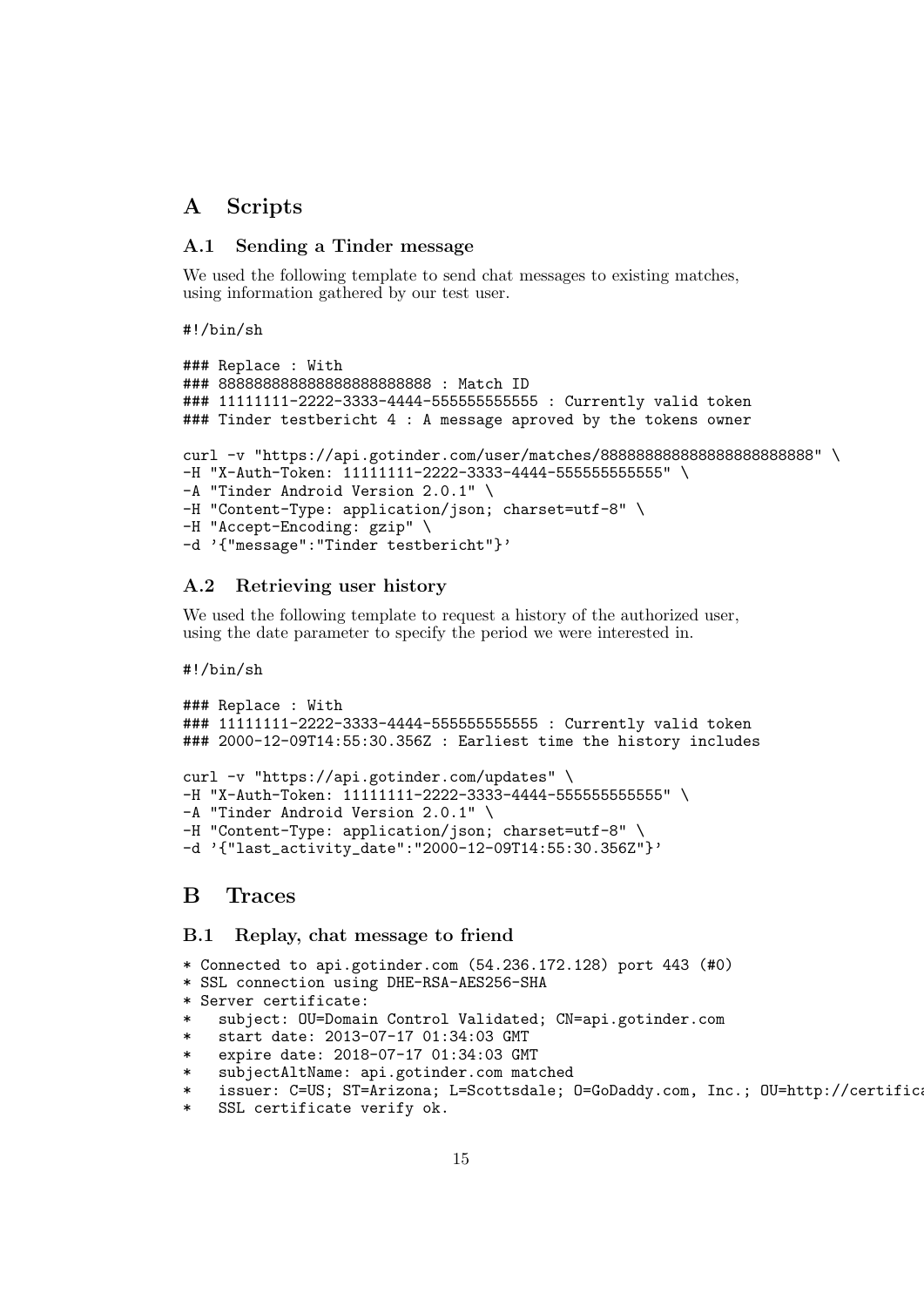# <span id="page-15-0"></span>A Scripts

## <span id="page-15-1"></span>A.1 Sending a Tinder message

We used the following template to send chat messages to existing matches, using information gathered by our test user.

#!/bin/sh

```
### Replace : With
### 888888888888888888888888 : Match ID
### 11111111-2222-3333-4444-55555555555555 : Currently valid token
### Tinder testbericht 4 : A message aproved by the tokens owner
curl -v "https://api.gotinder.com/user/matches/8888888888888888888888888889889"
-H "X-Auth-Token: 11111111-2222-3333-4444-555555555555" \
-A "Tinder Android Version 2.0.1" \
-H "Content-Type: application/json; charset=utf-8" \
-H "Accept-Encoding: gzip" \
-d '{"message":"Tinder testbericht"}'
```
## <span id="page-15-2"></span>A.2 Retrieving user history

We used the following template to request a history of the authorized user, using the date parameter to specify the period we were interested in.

#!/bin/sh

```
### Replace : With
### 11111111-2222-3333-4444-555555555555 : Currently valid token
### 2000-12-09T14:55:30.356Z : Earliest time the history includes
curl -v "https://api.gotinder.com/updates" \
-H "X-Auth-Token: 11111111-2222-3333-4444-555555555555" \
-A "Tinder Android Version 2.0.1" \
-H "Content-Type: application/json; charset=utf-8" \
-d '{"last_activity_date":"2000-12-09T14:55:30.356Z"}'
```
# <span id="page-15-3"></span>B Traces

## <span id="page-15-4"></span>B.1 Replay, chat message to friend

```
* Connected to api.gotinder.com (54.236.172.128) port 443 (#0)
```
\* SSL connection using DHE-RSA-AES256-SHA

```
* Server certificate:
```
- subject: OU=Domain Control Validated; CN=api.gotinder.com
- start date: 2013-07-17 01:34:03 GMT
- \* expire date: 2018-07-17 01:34:03 GMT
- \* subjectAltName: api.gotinder.com matched
- \* issuer: C=US; ST=Arizona; L=Scottsdale; O=GoDaddy.com, Inc.; OU=http://certific
- SSL certificate verify ok.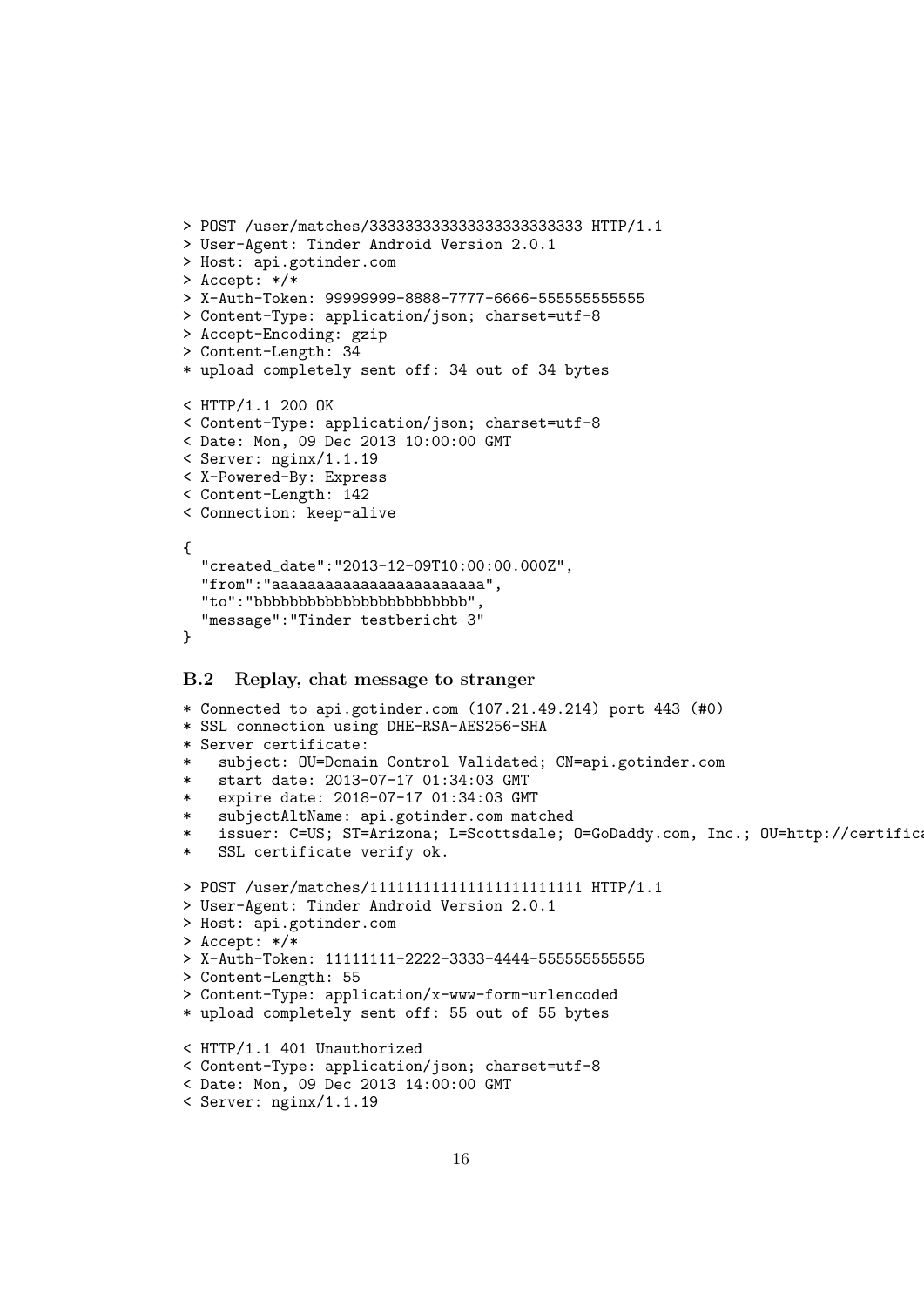```
> POST /user/matches/333333333333333333333333 HTTP/1.1
> User-Agent: Tinder Android Version 2.0.1
> Host: api.gotinder.com
> Accept: */*
> X-Auth-Token: 99999999-8888-7777-6666-555555555555
> Content-Type: application/json; charset=utf-8
> Accept-Encoding: gzip
> Content-Length: 34
* upload completely sent off: 34 out of 34 bytes
< HTTP/1.1 200 OK
< Content-Type: application/json; charset=utf-8
< Date: Mon, 09 Dec 2013 10:00:00 GMT
< Server: nginx/1.1.19
< X-Powered-By: Express
< Content-Length: 142
< Connection: keep-alive
{
  "created_date":"2013-12-09T10:00:00.000Z",
  "from":"aaaaaaaaaaaaaaaaaaaaaaaa",
  "to":"bbbbbbbbbbbbbbbbbbbbbbbb",
  "message":"Tinder testbericht 3"
}
```
## <span id="page-16-0"></span>B.2 Replay, chat message to stranger

```
* Connected to api.gotinder.com (107.21.49.214) port 443 (#0)
* SSL connection using DHE-RSA-AES256-SHA
* Server certificate:
    subject: OU=Domain Control Validated; CN=api.gotinder.com
* start date: 2013-07-17 01:34:03 GMT
   expire date: 2018-07-17 01:34:03 GMT
* subjectAltName: api.gotinder.com matched
    issuer: C=US; ST=Arizona; L=Scottsdale; O=GoDaddy.com, Inc.; OU=http://certific
   SSL certificate verify ok.
> POST /user/matches/111111111111111111111111 HTTP/1.1
> User-Agent: Tinder Android Version 2.0.1
> Host: api.gotinder.com
> Accept: */*
> X-Auth-Token: 11111111-2222-3333-4444-555555555555
> Content-Length: 55
> Content-Type: application/x-www-form-urlencoded
* upload completely sent off: 55 out of 55 bytes
< HTTP/1.1 401 Unauthorized
< Content-Type: application/json; charset=utf-8
< Date: Mon, 09 Dec 2013 14:00:00 GMT
< Server: nginx/1.1.19
```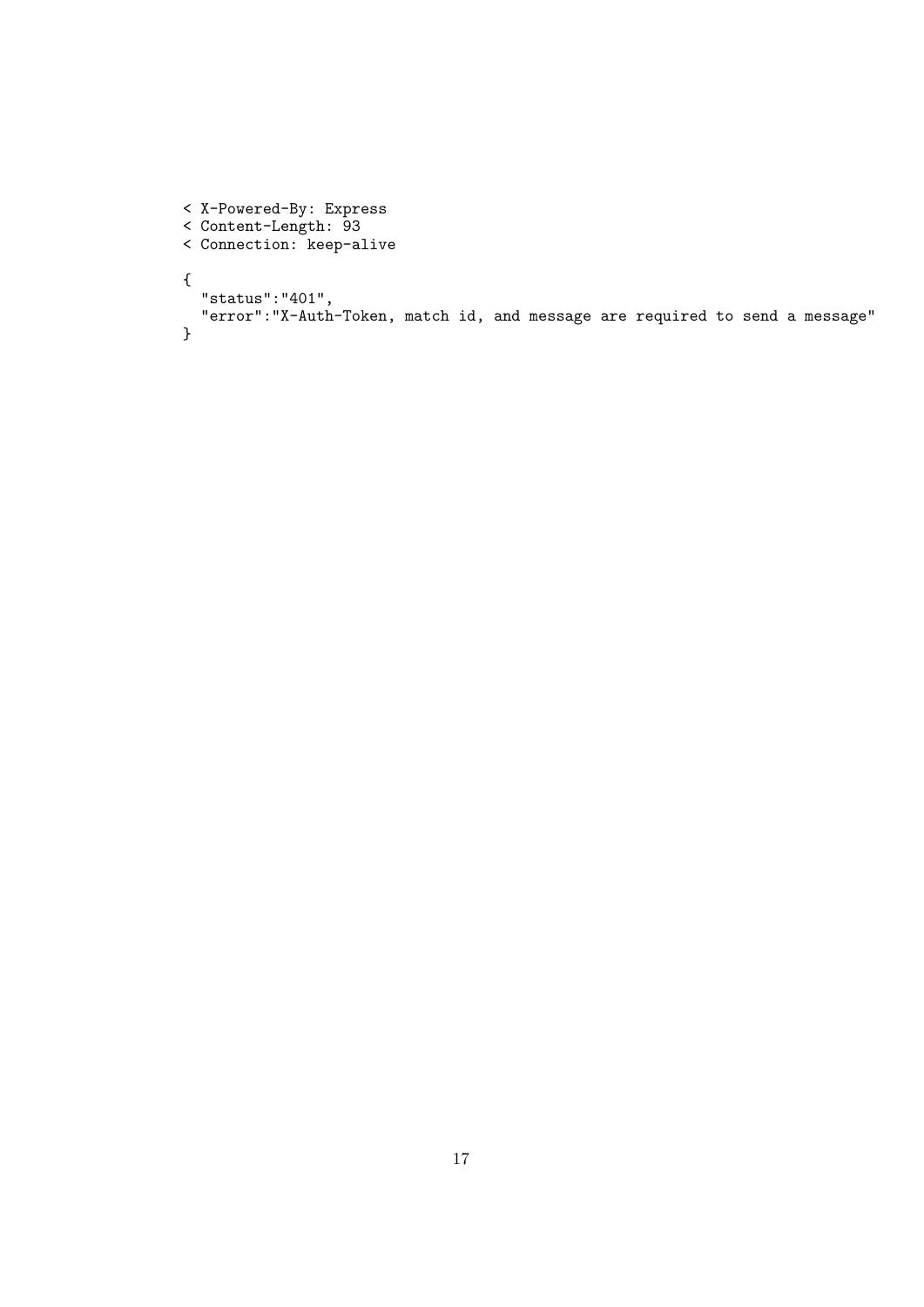```
< X-Powered-By: Express
< Content-Length: 93
< Connection: keep-alive
{
  "status":"401",
  "error":"X-Auth-Token, match id, and message are required to send a message"
}
```